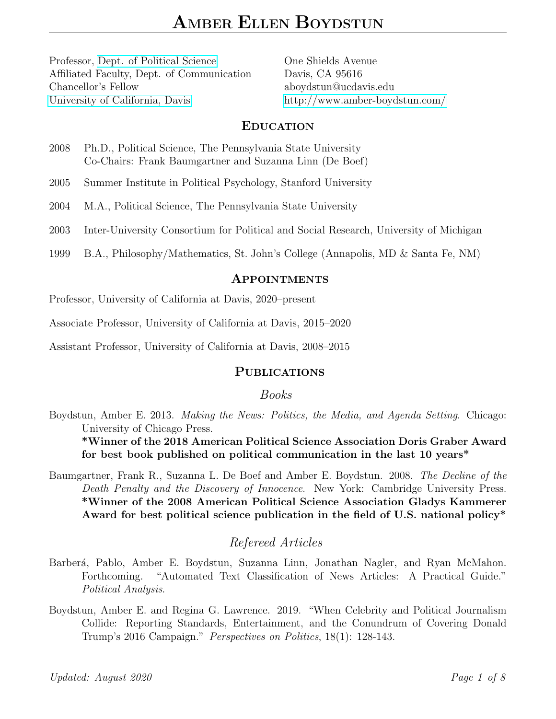Professor, [Dept. of Political Science](http://ps.ucdavis.edu/) Affiliated Faculty, Dept. of Communication Chancellor's Fellow [University of California, Davis](http://www.ucdavis.edu/index.html)

One Shields Avenue Davis, CA 95616 aboydstun@ucdavis.edu <http://www.amber-boydstun.com/>

#### EDUCATION

2008 Ph.D., Political Science, The Pennsylvania State University Co-Chairs: Frank Baumgartner and Suzanna Linn (De Boef)

2005 Summer Institute in Political Psychology, Stanford University

- 2004 M.A., Political Science, The Pennsylvania State University
- 2003 Inter-University Consortium for Political and Social Research, University of Michigan
- 1999 B.A., Philosophy/Mathematics, St. John's College (Annapolis, MD & Santa Fe, NM)

#### APPOINTMENTS

Professor, University of California at Davis, 2020–present

Associate Professor, University of California at Davis, 2015–2020

Assistant Professor, University of California at Davis, 2008–2015

### PUBLICATIONS

### Books

Boydstun, Amber E. 2013. Making the News: Politics, the Media, and Agenda Setting. Chicago: University of Chicago Press.

\*Winner of the 2018 American Political Science Association Doris Graber Award for best book published on political communication in the last 10 years\*

Baumgartner, Frank R., Suzanna L. De Boef and Amber E. Boydstun. 2008. The Decline of the Death Penalty and the Discovery of Innocence. New York: Cambridge University Press. \*Winner of the 2008 American Political Science Association Gladys Kammerer Award for best political science publication in the field of U.S. national policy\*

# Refereed Articles

- Barberá, Pablo, Amber E. Boydstun, Suzanna Linn, Jonathan Nagler, and Ryan McMahon. Forthcoming. "Automated Text Classification of News Articles: A Practical Guide." Political Analysis.
- Boydstun, Amber E. and Regina G. Lawrence. 2019. "When Celebrity and Political Journalism Collide: Reporting Standards, Entertainment, and the Conundrum of Covering Donald Trump's 2016 Campaign." Perspectives on Politics, 18(1): 128-143.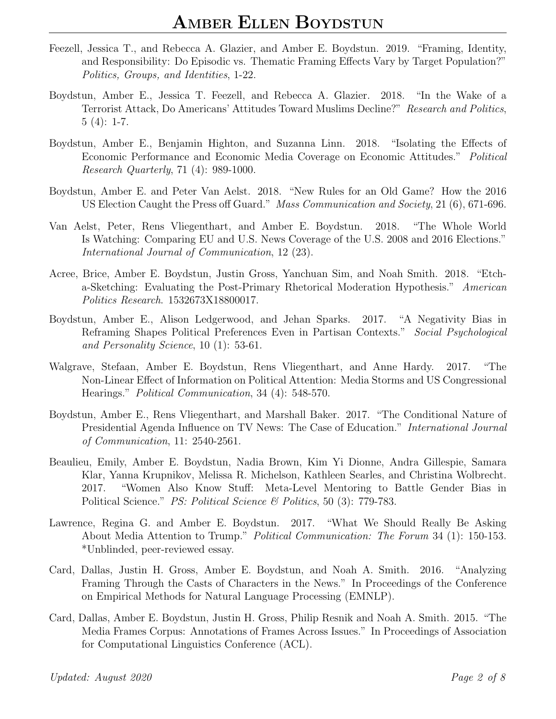- Feezell, Jessica T., and Rebecca A. Glazier, and Amber E. Boydstun. 2019. "Framing, Identity, and Responsibility: Do Episodic vs. Thematic Framing Effects Vary by Target Population?" Politics, Groups, and Identities, 1-22.
- Boydstun, Amber E., Jessica T. Feezell, and Rebecca A. Glazier. 2018. "In the Wake of a Terrorist Attack, Do Americans' Attitudes Toward Muslims Decline?" Research and Politics,  $5(4): 1-7.$
- Boydstun, Amber E., Benjamin Highton, and Suzanna Linn. 2018. "Isolating the Effects of Economic Performance and Economic Media Coverage on Economic Attitudes." Political Research Quarterly, 71 (4): 989-1000.
- Boydstun, Amber E. and Peter Van Aelst. 2018. "New Rules for an Old Game? How the 2016 US Election Caught the Press off Guard." Mass Communication and Society, 21 (6), 671-696.
- Van Aelst, Peter, Rens Vliegenthart, and Amber E. Boydstun. 2018. "The Whole World Is Watching: Comparing EU and U.S. News Coverage of the U.S. 2008 and 2016 Elections." International Journal of Communication, 12 (23).
- Acree, Brice, Amber E. Boydstun, Justin Gross, Yanchuan Sim, and Noah Smith. 2018. "Etcha-Sketching: Evaluating the Post-Primary Rhetorical Moderation Hypothesis." American Politics Research. 1532673X18800017.
- Boydstun, Amber E., Alison Ledgerwood, and Jehan Sparks. 2017. "A Negativity Bias in Reframing Shapes Political Preferences Even in Partisan Contexts." Social Psychological and Personality Science, 10 (1): 53-61.
- Walgrave, Stefaan, Amber E. Boydstun, Rens Vliegenthart, and Anne Hardy. 2017. "The Non-Linear Effect of Information on Political Attention: Media Storms and US Congressional Hearings." Political Communication, 34 (4): 548-570.
- Boydstun, Amber E., Rens Vliegenthart, and Marshall Baker. 2017. "The Conditional Nature of Presidential Agenda Influence on TV News: The Case of Education." International Journal of Communication, 11: 2540-2561.
- Beaulieu, Emily, Amber E. Boydstun, Nadia Brown, Kim Yi Dionne, Andra Gillespie, Samara Klar, Yanna Krupnikov, Melissa R. Michelson, Kathleen Searles, and Christina Wolbrecht. 2017. "Women Also Know Stuff: Meta-Level Mentoring to Battle Gender Bias in Political Science." *PS: Political Science & Politics*, 50 (3): 779-783.
- Lawrence, Regina G. and Amber E. Boydstun. 2017. "What We Should Really Be Asking About Media Attention to Trump." Political Communication: The Forum 34 (1): 150-153. \*Unblinded, peer-reviewed essay.
- Card, Dallas, Justin H. Gross, Amber E. Boydstun, and Noah A. Smith. 2016. "Analyzing Framing Through the Casts of Characters in the News." In Proceedings of the Conference on Empirical Methods for Natural Language Processing (EMNLP).
- Card, Dallas, Amber E. Boydstun, Justin H. Gross, Philip Resnik and Noah A. Smith. 2015. "The Media Frames Corpus: Annotations of Frames Across Issues." In Proceedings of Association for Computational Linguistics Conference (ACL).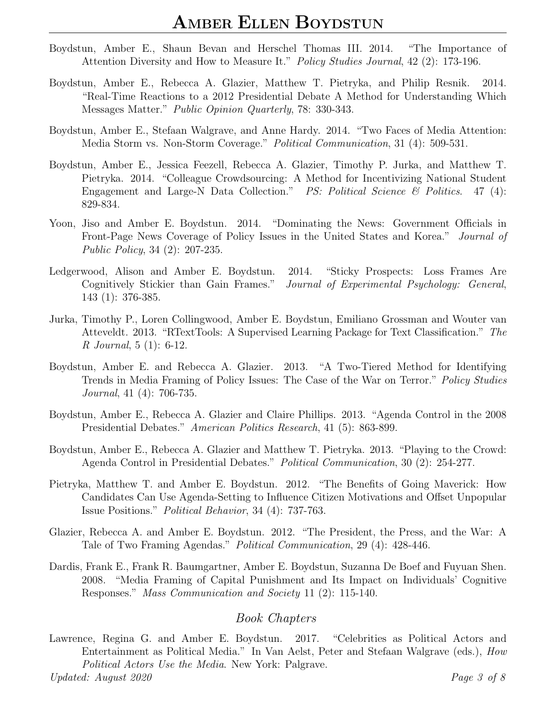- Boydstun, Amber E., Shaun Bevan and Herschel Thomas III. 2014. "The Importance of Attention Diversity and How to Measure It." Policy Studies Journal, 42 (2): 173-196.
- Boydstun, Amber E., Rebecca A. Glazier, Matthew T. Pietryka, and Philip Resnik. 2014. "Real-Time Reactions to a 2012 Presidential Debate A Method for Understanding Which Messages Matter." Public Opinion Quarterly, 78: 330-343.
- Boydstun, Amber E., Stefaan Walgrave, and Anne Hardy. 2014. "Two Faces of Media Attention: Media Storm vs. Non-Storm Coverage." Political Communication, 31 (4): 509-531.
- Boydstun, Amber E., Jessica Feezell, Rebecca A. Glazier, Timothy P. Jurka, and Matthew T. Pietryka. 2014. "Colleague Crowdsourcing: A Method for Incentivizing National Student Engagement and Large-N Data Collection." PS: Political Science & Politics. 47 (4): 829-834.
- Yoon, Jiso and Amber E. Boydstun. 2014. "Dominating the News: Government Officials in Front-Page News Coverage of Policy Issues in the United States and Korea." Journal of Public Policy, 34 (2): 207-235.
- Ledgerwood, Alison and Amber E. Boydstun. 2014. "Sticky Prospects: Loss Frames Are Cognitively Stickier than Gain Frames." Journal of Experimental Psychology: General, 143 (1): 376-385.
- Jurka, Timothy P., Loren Collingwood, Amber E. Boydstun, Emiliano Grossman and Wouter van Atteveldt. 2013. "RTextTools: A Supervised Learning Package for Text Classification." The R Journal, 5 (1): 6-12.
- Boydstun, Amber E. and Rebecca A. Glazier. 2013. "A Two-Tiered Method for Identifying Trends in Media Framing of Policy Issues: The Case of the War on Terror." Policy Studies Journal, 41 (4): 706-735.
- Boydstun, Amber E., Rebecca A. Glazier and Claire Phillips. 2013. "Agenda Control in the 2008 Presidential Debates." American Politics Research, 41 (5): 863-899.
- Boydstun, Amber E., Rebecca A. Glazier and Matthew T. Pietryka. 2013. "Playing to the Crowd: Agenda Control in Presidential Debates." Political Communication, 30 (2): 254-277.
- Pietryka, Matthew T. and Amber E. Boydstun. 2012. "The Benefits of Going Maverick: How Candidates Can Use Agenda-Setting to Influence Citizen Motivations and Offset Unpopular Issue Positions." Political Behavior, 34 (4): 737-763.
- Glazier, Rebecca A. and Amber E. Boydstun. 2012. "The President, the Press, and the War: A Tale of Two Framing Agendas." Political Communication, 29 (4): 428-446.
- Dardis, Frank E., Frank R. Baumgartner, Amber E. Boydstun, Suzanna De Boef and Fuyuan Shen. 2008. "Media Framing of Capital Punishment and Its Impact on Individuals' Cognitive Responses." Mass Communication and Society 11 (2): 115-140.

# Book Chapters

Lawrence, Regina G. and Amber E. Boydstun. 2017. "Celebrities as Political Actors and Entertainment as Political Media." In Van Aelst, Peter and Stefaan Walgrave (eds.), How Political Actors Use the Media. New York: Palgrave. Updated: August 2020 Page 3 of 8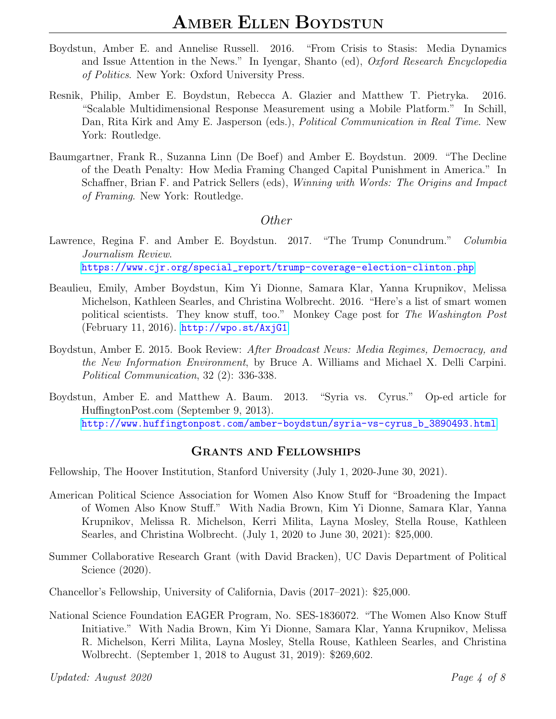- Boydstun, Amber E. and Annelise Russell. 2016. "From Crisis to Stasis: Media Dynamics and Issue Attention in the News." In Iyengar, Shanto (ed), Oxford Research Encyclopedia of Politics. New York: Oxford University Press.
- Resnik, Philip, Amber E. Boydstun, Rebecca A. Glazier and Matthew T. Pietryka. 2016. "Scalable Multidimensional Response Measurement using a Mobile Platform." In Schill, Dan, Rita Kirk and Amy E. Jasperson (eds.), *Political Communication in Real Time*. New York: Routledge.
- Baumgartner, Frank R., Suzanna Linn (De Boef) and Amber E. Boydstun. 2009. "The Decline of the Death Penalty: How Media Framing Changed Capital Punishment in America." In Schaffner, Brian F. and Patrick Sellers (eds), *Winning with Words: The Origins and Impact* of Framing. New York: Routledge.

### Other

- Lawrence, Regina F. and Amber E. Boydstun. 2017. "The Trump Conundrum." Columbia Journalism Review. [https://www.cjr.org/special\\_report/trump-coverage-election-clinton.php](https://www.cjr.org/special_report/trump-coverage-election-clinton.php)
- Beaulieu, Emily, Amber Boydstun, Kim Yi Dionne, Samara Klar, Yanna Krupnikov, Melissa Michelson, Kathleen Searles, and Christina Wolbrecht. 2016. "Here's a list of smart women political scientists. They know stuff, too." Monkey Cage post for The Washington Post (February 11, 2016). <http://wpo.st/AxjG1>
- Boydstun, Amber E. 2015. Book Review: After Broadcast News: Media Regimes, Democracy, and the New Information Environment, by Bruce A. Williams and Michael X. Delli Carpini. Political Communication, 32 (2): 336-338.
- Boydstun, Amber E. and Matthew A. Baum. 2013. "Syria vs. Cyrus." Op-ed article for HuffingtonPost.com (September 9, 2013). [http://www.huffingtonpost.com/amber-boydstun/syria-vs-cyrus\\_b\\_3890493.html](http://www.huffingtonpost.com/amber-boydstun/syria-vs-cyrus_b_3890493.html)

# GRANTS AND FELLOWSHIPS

Fellowship, The Hoover Institution, Stanford University (July 1, 2020-June 30, 2021).

- American Political Science Association for Women Also Know Stuff for "Broadening the Impact of Women Also Know Stuff." With Nadia Brown, Kim Yi Dionne, Samara Klar, Yanna Krupnikov, Melissa R. Michelson, Kerri Milita, Layna Mosley, Stella Rouse, Kathleen Searles, and Christina Wolbrecht. (July 1, 2020 to June 30, 2021): \$25,000.
- Summer Collaborative Research Grant (with David Bracken), UC Davis Department of Political Science (2020).

Chancellor's Fellowship, University of California, Davis (2017–2021): \$25,000.

National Science Foundation EAGER Program, No. SES-1836072. "The Women Also Know Stuff Initiative." With Nadia Brown, Kim Yi Dionne, Samara Klar, Yanna Krupnikov, Melissa R. Michelson, Kerri Milita, Layna Mosley, Stella Rouse, Kathleen Searles, and Christina Wolbrecht. (September 1, 2018 to August 31, 2019): \$269,602.

Updated: August 2020 Page 4 of 8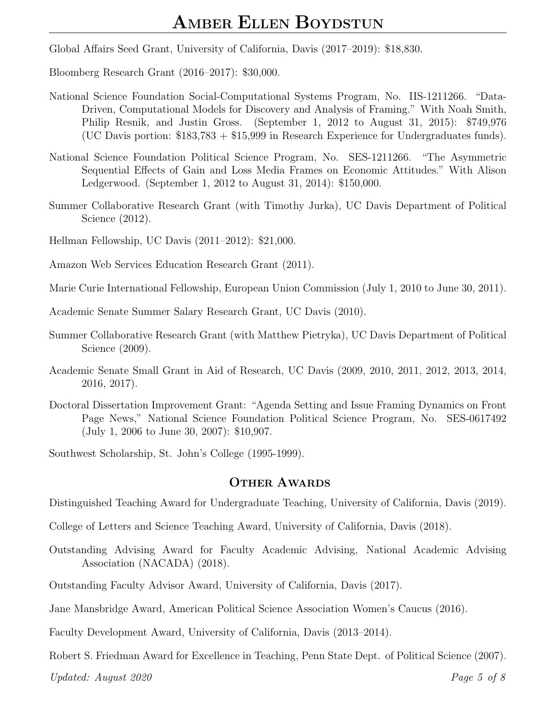Global Affairs Seed Grant, University of California, Davis (2017–2019): \$18,830.

Bloomberg Research Grant (2016–2017): \$30,000.

- National Science Foundation Social-Computational Systems Program, No. IIS-1211266. "Data-Driven, Computational Models for Discovery and Analysis of Framing." With Noah Smith, Philip Resnik, and Justin Gross. (September 1, 2012 to August 31, 2015): \$749,976 (UC Davis portion: \$183,783 + \$15,999 in Research Experience for Undergraduates funds).
- National Science Foundation Political Science Program, No. SES-1211266. "The Asymmetric Sequential Effects of Gain and Loss Media Frames on Economic Attitudes." With Alison Ledgerwood. (September 1, 2012 to August 31, 2014): \$150,000.
- Summer Collaborative Research Grant (with Timothy Jurka), UC Davis Department of Political Science (2012).

Hellman Fellowship, UC Davis (2011–2012): \$21,000.

Amazon Web Services Education Research Grant (2011).

Marie Curie International Fellowship, European Union Commission (July 1, 2010 to June 30, 2011).

Academic Senate Summer Salary Research Grant, UC Davis (2010).

- Summer Collaborative Research Grant (with Matthew Pietryka), UC Davis Department of Political Science (2009).
- Academic Senate Small Grant in Aid of Research, UC Davis (2009, 2010, 2011, 2012, 2013, 2014, 2016, 2017).
- Doctoral Dissertation Improvement Grant: "Agenda Setting and Issue Framing Dynamics on Front Page News," National Science Foundation Political Science Program, No. SES-0617492 (July 1, 2006 to June 30, 2007): \$10,907.

Southwest Scholarship, St. John's College (1995-1999).

#### OTHER AWARDS

Distinguished Teaching Award for Undergraduate Teaching, University of California, Davis (2019).

College of Letters and Science Teaching Award, University of California, Davis (2018).

- Outstanding Advising Award for Faculty Academic Advising, National Academic Advising Association (NACADA) (2018).
- Outstanding Faculty Advisor Award, University of California, Davis (2017).
- Jane Mansbridge Award, American Political Science Association Women's Caucus (2016).
- Faculty Development Award, University of California, Davis (2013–2014).

Robert S. Friedman Award for Excellence in Teaching, Penn State Dept. of Political Science (2007).

Updated: August 2020  $Page 5 of 8$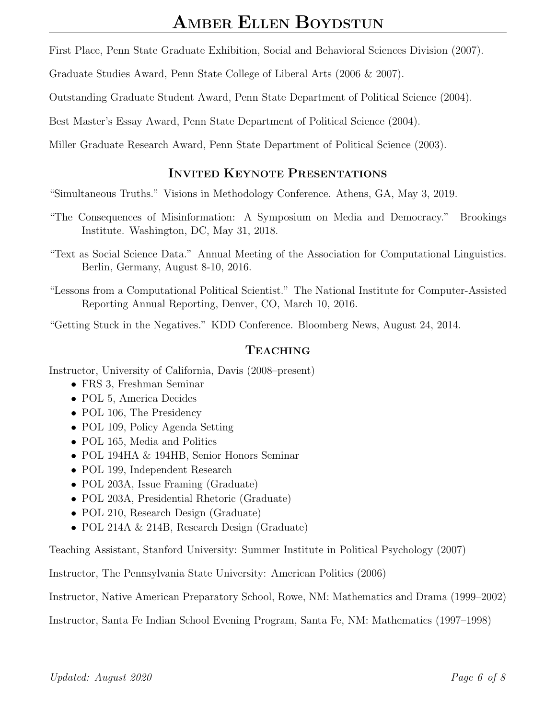First Place, Penn State Graduate Exhibition, Social and Behavioral Sciences Division (2007).

Graduate Studies Award, Penn State College of Liberal Arts (2006 & 2007).

Outstanding Graduate Student Award, Penn State Department of Political Science (2004).

Best Master's Essay Award, Penn State Department of Political Science (2004).

Miller Graduate Research Award, Penn State Department of Political Science (2003).

# INVITED KEYNOTE PRESENTATIONS

"Simultaneous Truths." Visions in Methodology Conference. Athens, GA, May 3, 2019.

- "The Consequences of Misinformation: A Symposium on Media and Democracy." Brookings Institute. Washington, DC, May 31, 2018.
- "Text as Social Science Data." Annual Meeting of the Association for Computational Linguistics. Berlin, Germany, August 8-10, 2016.
- "Lessons from a Computational Political Scientist." The National Institute for Computer-Assisted Reporting Annual Reporting, Denver, CO, March 10, 2016.

"Getting Stuck in the Negatives." KDD Conference. Bloomberg News, August 24, 2014.

### TEACHING

Instructor, University of California, Davis (2008–present)

- FRS 3, Freshman Seminar
- POL 5, America Decides
- POL 106, The Presidency
- POL 109, Policy Agenda Setting
- POL 165, Media and Politics
- POL 194HA & 194HB, Senior Honors Seminar
- POL 199, Independent Research
- POL 203A, Issue Framing (Graduate)
- POL 203A, Presidential Rhetoric (Graduate)
- POL 210, Research Design (Graduate)
- POL 214A & 214B, Research Design (Graduate)

Teaching Assistant, Stanford University: Summer Institute in Political Psychology (2007)

Instructor, The Pennsylvania State University: American Politics (2006)

Instructor, Native American Preparatory School, Rowe, NM: Mathematics and Drama (1999–2002)

Instructor, Santa Fe Indian School Evening Program, Santa Fe, NM: Mathematics (1997–1998)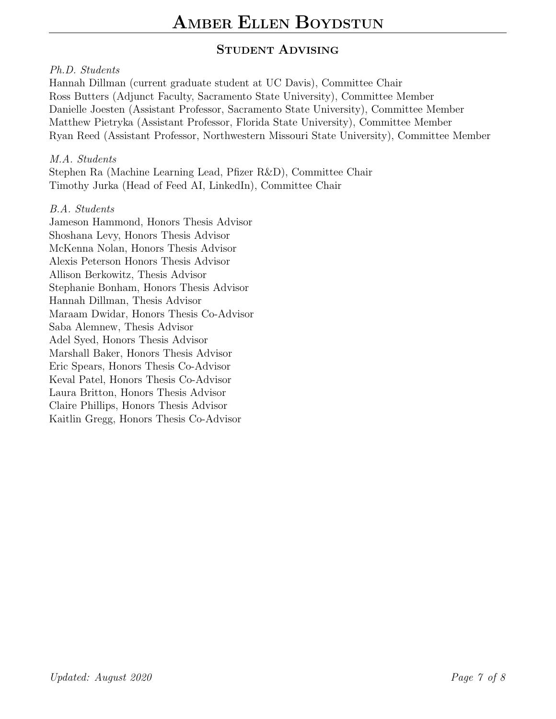# STUDENT ADVISING

# Ph.D. Students

Hannah Dillman (current graduate student at UC Davis), Committee Chair Ross Butters (Adjunct Faculty, Sacramento State University), Committee Member Danielle Joesten (Assistant Professor, Sacramento State University), Committee Member Matthew Pietryka (Assistant Professor, Florida State University), Committee Member Ryan Reed (Assistant Professor, Northwestern Missouri State University), Committee Member

M.A. Students

Stephen Ra (Machine Learning Lead, Pfizer R&D), Committee Chair Timothy Jurka (Head of Feed AI, LinkedIn), Committee Chair

### B.A. Students

Jameson Hammond, Honors Thesis Advisor Shoshana Levy, Honors Thesis Advisor McKenna Nolan, Honors Thesis Advisor Alexis Peterson Honors Thesis Advisor Allison Berkowitz, Thesis Advisor Stephanie Bonham, Honors Thesis Advisor Hannah Dillman, Thesis Advisor Maraam Dwidar, Honors Thesis Co-Advisor Saba Alemnew, Thesis Advisor Adel Syed, Honors Thesis Advisor Marshall Baker, Honors Thesis Advisor Eric Spears, Honors Thesis Co-Advisor Keval Patel, Honors Thesis Co-Advisor Laura Britton, Honors Thesis Advisor Claire Phillips, Honors Thesis Advisor Kaitlin Gregg, Honors Thesis Co-Advisor